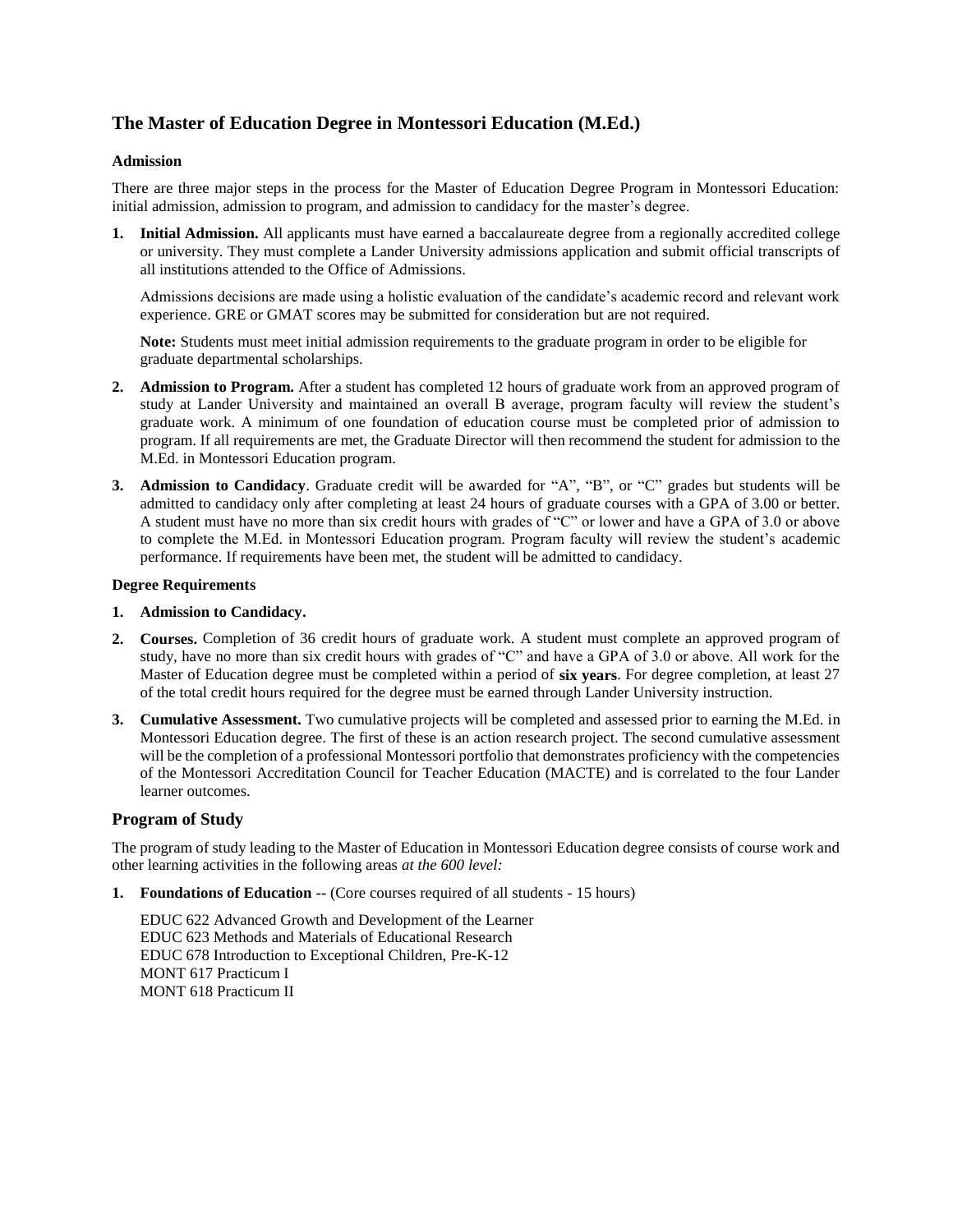# **The Master of Education Degree in Montessori Education (M.Ed.)**

# **Admission**

There are three major steps in the process for the Master of Education Degree Program in Montessori Education: initial admission, admission to program, and admission to candidacy for the master's degree.

**1. Initial Admission.** All applicants must have earned a baccalaureate degree from a regionally accredited college or university. They must complete a Lander University admissions application and submit official transcripts of all institutions attended to the Office of Admissions.

Admissions decisions are made using a holistic evaluation of the candidate's academic record and relevant work experience. GRE or GMAT scores may be submitted for consideration but are not required.

**Note:** Students must meet initial admission requirements to the graduate program in order to be eligible for graduate departmental scholarships.

- **2. Admission to Program.** After a student has completed 12 hours of graduate work from an approved program of study at Lander University and maintained an overall B average, program faculty will review the student's graduate work. A minimum of one foundation of education course must be completed prior of admission to program. If all requirements are met, the Graduate Director will then recommend the student for admission to the M.Ed. in Montessori Education program.
- **3. Admission to Candidacy**. Graduate credit will be awarded for "A", "B", or "C" grades but students will be admitted to candidacy only after completing at least 24 hours of graduate courses with a GPA of 3.00 or better. A student must have no more than six credit hours with grades of "C" or lower and have a GPA of 3.0 or above to complete the M.Ed. in Montessori Education program. Program faculty will review the student's academic performance. If requirements have been met, the student will be admitted to candidacy.

## **Degree Requirements**

- **1. Admission to Candidacy.**
- **2. Courses.** Completion of 36 credit hours of graduate work. A student must complete an approved program of study, have no more than six credit hours with grades of "C" and have a GPA of 3.0 or above. All work for the Master of Education degree must be completed within a period of **six years**. For degree completion, at least 27 of the total credit hours required for the degree must be earned through Lander University instruction.
- **3. Cumulative Assessment.** Two cumulative projects will be completed and assessed prior to earning the M.Ed. in Montessori Education degree. The first of these is an action research project. The second cumulative assessment will be the completion of a professional Montessori portfolio that demonstrates proficiency with the competencies of the Montessori Accreditation Council for Teacher Education (MACTE) and is correlated to the four Lander learner outcomes.

# **Program of Study**

The program of study leading to the Master of Education in Montessori Education degree consists of course work and other learning activities in the following areas *at the 600 level:*

**1. Foundations of Education --** (Core courses required of all students - 15 hours)

EDUC 622 Advanced Growth and Development of the Learner EDUC 623 Methods and Materials of Educational Research EDUC 678 Introduction to Exceptional Children, Pre-K-12 MONT 617 Practicum I MONT 618 Practicum II